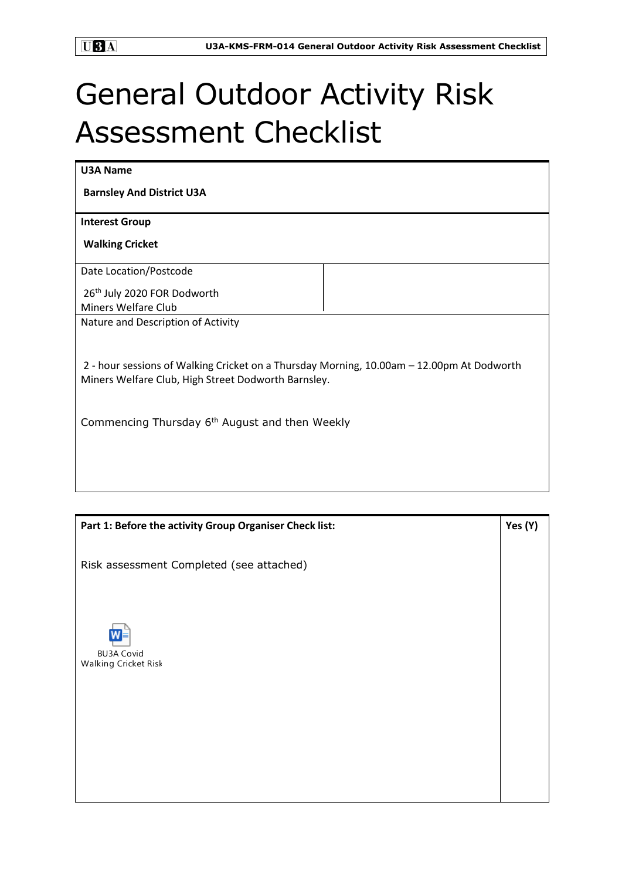## General Outdoor Activity Risk Assessment Checklist

| <b>U3A Name</b>                                                                                                                                  |  |  |
|--------------------------------------------------------------------------------------------------------------------------------------------------|--|--|
| <b>Barnsley And District U3A</b>                                                                                                                 |  |  |
| <b>Interest Group</b>                                                                                                                            |  |  |
| <b>Walking Cricket</b>                                                                                                                           |  |  |
| Date Location/Postcode                                                                                                                           |  |  |
| 26 <sup>th</sup> July 2020 FOR Dodworth                                                                                                          |  |  |
| Miners Welfare Club                                                                                                                              |  |  |
| Nature and Description of Activity                                                                                                               |  |  |
| 2 - hour sessions of Walking Cricket on a Thursday Morning, 10.00am - 12.00pm At Dodworth<br>Miners Welfare Club, High Street Dodworth Barnsley. |  |  |
| Commencing Thursday 6 <sup>th</sup> August and then Weekly                                                                                       |  |  |
|                                                                                                                                                  |  |  |

| Part 1: Before the activity Group Organiser Check list: | Yes (Y) |
|---------------------------------------------------------|---------|
| Risk assessment Completed (see attached)                |         |
| <b>BU3A Covid</b><br>Walking Cricket Risk               |         |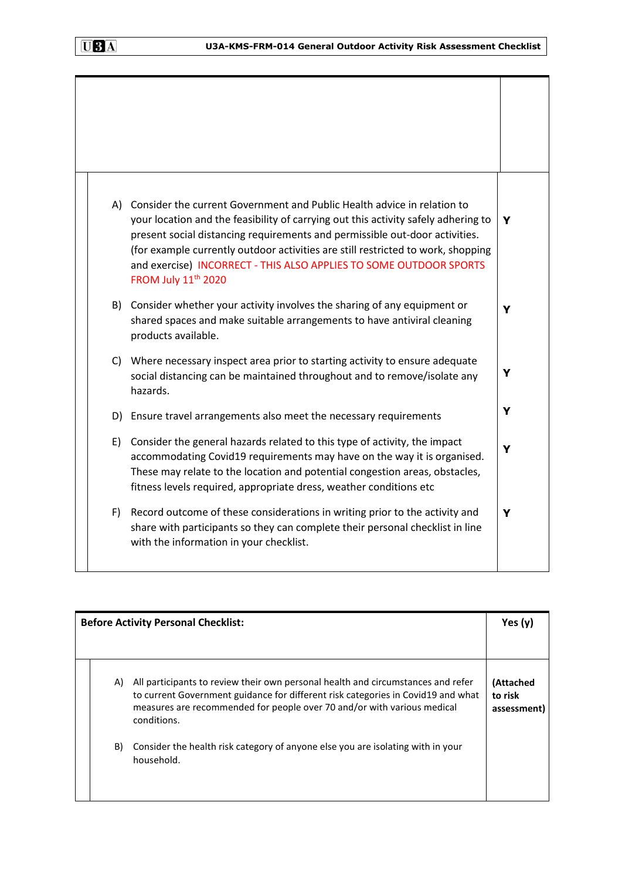| (A) | Consider the current Government and Public Health advice in relation to<br>your location and the feasibility of carrying out this activity safely adhering to<br>present social distancing requirements and permissible out-door activities.<br>(for example currently outdoor activities are still restricted to work, shopping<br>and exercise) INCORRECT - THIS ALSO APPLIES TO SOME OUTDOOR SPORTS<br>FROM July 11 <sup>th</sup> 2020 | Y |
|-----|-------------------------------------------------------------------------------------------------------------------------------------------------------------------------------------------------------------------------------------------------------------------------------------------------------------------------------------------------------------------------------------------------------------------------------------------|---|
| B)  | Consider whether your activity involves the sharing of any equipment or<br>shared spaces and make suitable arrangements to have antiviral cleaning<br>products available.                                                                                                                                                                                                                                                                 | Y |
| C)  | Where necessary inspect area prior to starting activity to ensure adequate<br>social distancing can be maintained throughout and to remove/isolate any<br>hazards.                                                                                                                                                                                                                                                                        | Y |
|     | D) Ensure travel arrangements also meet the necessary requirements                                                                                                                                                                                                                                                                                                                                                                        | Y |
| E)  | Consider the general hazards related to this type of activity, the impact<br>accommodating Covid19 requirements may have on the way it is organised.<br>These may relate to the location and potential congestion areas, obstacles,<br>fitness levels required, appropriate dress, weather conditions etc                                                                                                                                 | Y |
| F)  | Record outcome of these considerations in writing prior to the activity and<br>share with participants so they can complete their personal checklist in line<br>with the information in your checklist.                                                                                                                                                                                                                                   | Y |

| <b>Before Activity Personal Checklist:</b> |                                                                                                                                                                                                                                                                | Yes $(y)$                           |
|--------------------------------------------|----------------------------------------------------------------------------------------------------------------------------------------------------------------------------------------------------------------------------------------------------------------|-------------------------------------|
|                                            |                                                                                                                                                                                                                                                                |                                     |
| A)                                         | All participants to review their own personal health and circumstances and refer<br>to current Government guidance for different risk categories in Covid19 and what<br>measures are recommended for people over 70 and/or with various medical<br>conditions. | (Attached<br>to risk<br>assessment) |
| B)                                         | Consider the health risk category of anyone else you are isolating with in your<br>household.                                                                                                                                                                  |                                     |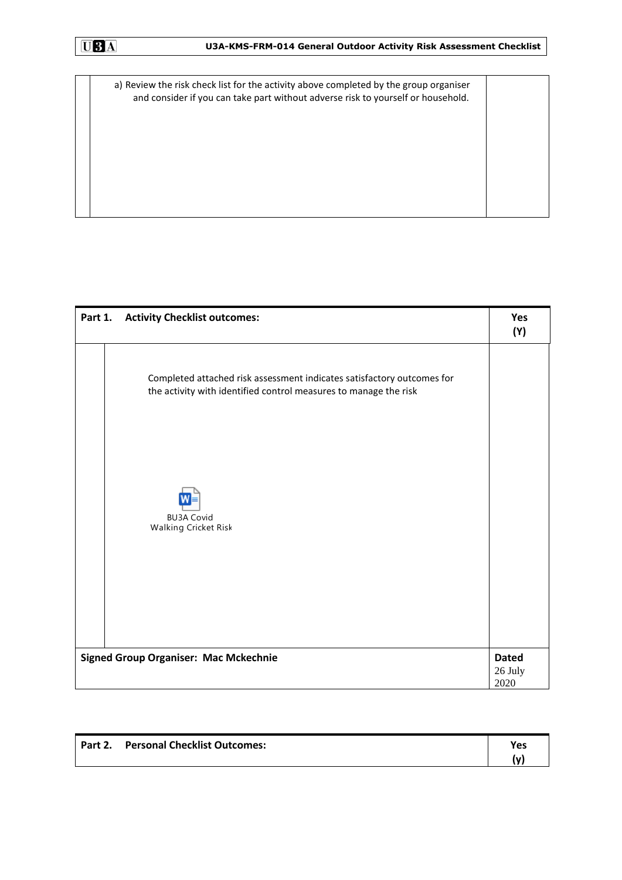a) Review the risk check list for the activity above completed by the group organiser and consider if you can take part without adverse risk to yourself or household.

| Part 1.                                      | <b>Activity Checklist outcomes:</b>                                                                                                        | Yes<br>(Y)                      |
|----------------------------------------------|--------------------------------------------------------------------------------------------------------------------------------------------|---------------------------------|
|                                              | Completed attached risk assessment indicates satisfactory outcomes for<br>the activity with identified control measures to manage the risk |                                 |
|                                              | <b>BU3A Covid</b><br>Walking Cricket Risk                                                                                                  |                                 |
|                                              |                                                                                                                                            |                                 |
| <b>Signed Group Organiser: Mac Mckechnie</b> |                                                                                                                                            | <b>Dated</b><br>26 July<br>2020 |

| Part 2. Personal Checklist Outcomes: | Yes |
|--------------------------------------|-----|
|                                      | l٧  |